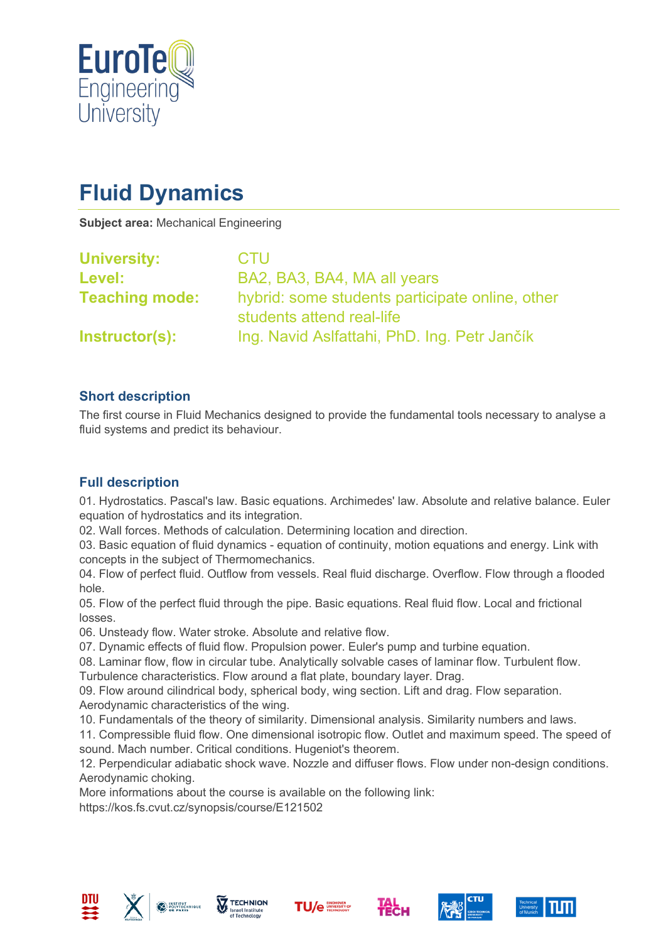

# **Fluid Dynamics**

**Subject area:** Mechanical Engineering

| <b>University:</b>    | <b>CTU</b>                                                                   |
|-----------------------|------------------------------------------------------------------------------|
| Level:                | BA2, BA3, BA4, MA all years                                                  |
| <b>Teaching mode:</b> | hybrid: some students participate online, other<br>students attend real-life |
| Instructor(s):        | Ing. Navid Aslfattahi, PhD. Ing. Petr Jančík                                 |

# **Short description**

The first course in Fluid Mechanics designed to provide the fundamental tools necessary to analyse a fluid systems and predict its behaviour.

# **Full description**

01. Hydrostatics. Pascal's law. Basic equations. Archimedes' law. Absolute and relative balance. Euler equation of hydrostatics and its integration.

02. Wall forces. Methods of calculation. Determining location and direction.

03. Basic equation of fluid dynamics - equation of continuity, motion equations and energy. Link with concepts in the subject of Thermomechanics.

04. Flow of perfect fluid. Outflow from vessels. Real fluid discharge. Overflow. Flow through a flooded hole.

05. Flow of the perfect fluid through the pipe. Basic equations. Real fluid flow. Local and frictional losses.

06. Unsteady flow. Water stroke. Absolute and relative flow.

07. Dynamic effects of fluid flow. Propulsion power. Euler's pump and turbine equation.

08. Laminar flow, flow in circular tube. Analytically solvable cases of laminar flow. Turbulent flow. Turbulence characteristics. Flow around a flat plate, boundary layer. Drag.

09. Flow around cilindrical body, spherical body, wing section. Lift and drag. Flow separation. Aerodynamic characteristics of the wing.

10. Fundamentals of the theory of similarity. Dimensional analysis. Similarity numbers and laws.

11. Compressible fluid flow. One dimensional isotropic flow. Outlet and maximum speed. The speed of sound. Mach number. Critical conditions. Hugeniot's theorem.

12. Perpendicular adiabatic shock wave. Nozzle and diffuser flows. Flow under non-design conditions. Aerodynamic choking.

More informations about the course is available on the following link:

https://kos.fs.cvut.cz/synopsis/course/E121502











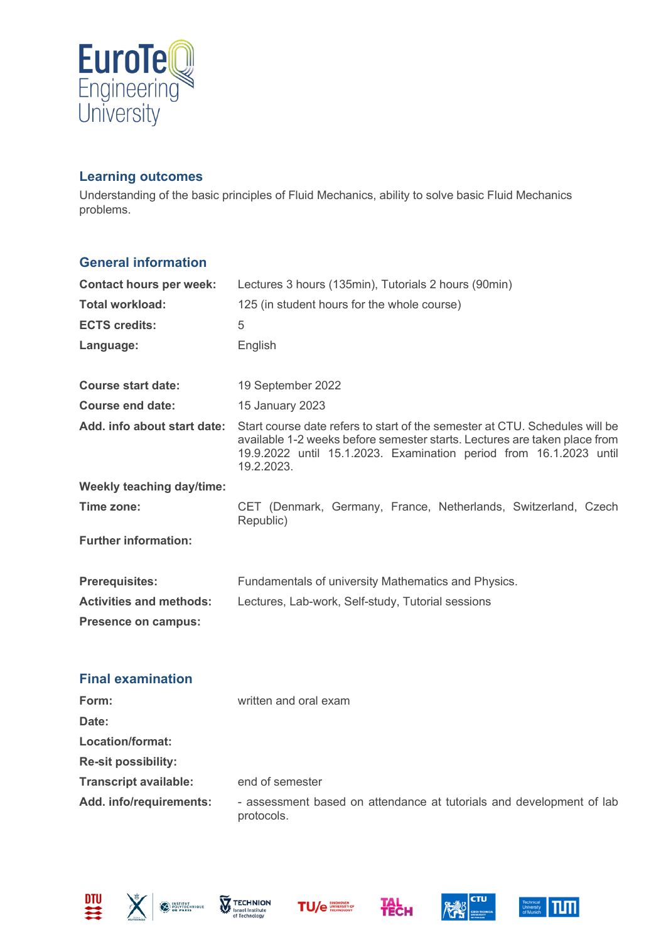

#### **Learning outcomes**

Understanding of the basic principles of Fluid Mechanics, ability to solve basic Fluid Mechanics problems.

#### **General information**

| <b>Contact hours per week:</b>   | Lectures 3 hours (135min), Tutorials 2 hours (90min)                                                                                                                                                                                         |  |
|----------------------------------|----------------------------------------------------------------------------------------------------------------------------------------------------------------------------------------------------------------------------------------------|--|
| Total workload:                  | 125 (in student hours for the whole course)                                                                                                                                                                                                  |  |
| <b>ECTS credits:</b>             | 5                                                                                                                                                                                                                                            |  |
| Language:                        | English                                                                                                                                                                                                                                      |  |
|                                  |                                                                                                                                                                                                                                              |  |
| <b>Course start date:</b>        | 19 September 2022                                                                                                                                                                                                                            |  |
| Course end date:                 | 15 January 2023                                                                                                                                                                                                                              |  |
| Add. info about start date:      | Start course date refers to start of the semester at CTU. Schedules will be<br>available 1-2 weeks before semester starts. Lectures are taken place from<br>19.9.2022 until 15.1.2023. Examination period from 16.1.2023 until<br>19.2.2023. |  |
| <b>Weekly teaching day/time:</b> |                                                                                                                                                                                                                                              |  |
| Time zone:                       | CET (Denmark, Germany, France, Netherlands, Switzerland, Czech<br>Republic)                                                                                                                                                                  |  |
| <b>Further information:</b>      |                                                                                                                                                                                                                                              |  |
| <b>Prerequisites:</b>            | Fundamentals of university Mathematics and Physics.                                                                                                                                                                                          |  |
| <b>Activities and methods:</b>   | Lectures, Lab-work, Self-study, Tutorial sessions                                                                                                                                                                                            |  |
| Presence on campus:              |                                                                                                                                                                                                                                              |  |

#### **Final examination**

| Form:                        | written and oral exam                                                              |
|------------------------------|------------------------------------------------------------------------------------|
| Date:                        |                                                                                    |
| Location/format:             |                                                                                    |
| <b>Re-sit possibility:</b>   |                                                                                    |
| <b>Transcript available:</b> | end of semester                                                                    |
| Add. info/requirements:      | - assessment based on attendance at tutorials and development of lab<br>protocols. |